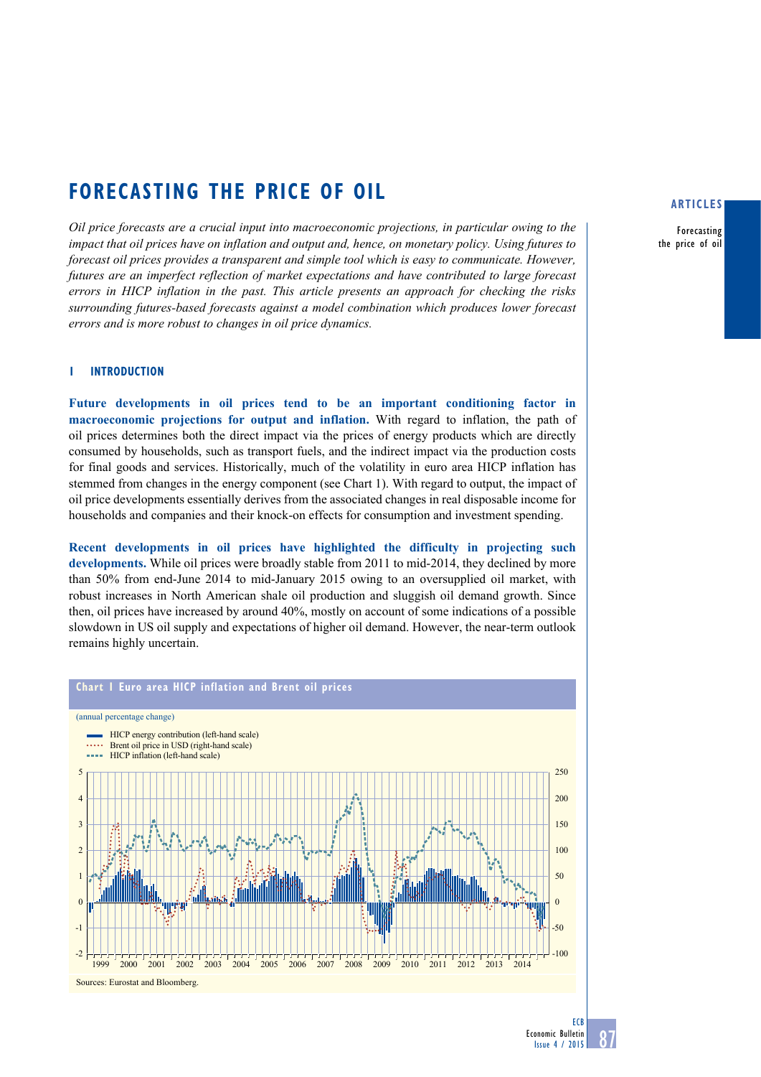# **Forecasting the price of oil**

*Oil price forecasts are a crucial input into macroeconomic projections, in particular owing to the impact that oil prices have on inflation and output and, hence, on monetary policy. Using futures to forecast oil prices provides a transparent and simple tool which is easy to communicate. However, futures are an imperfect reflection of market expectations and have contributed to large forecast errors in HICP inflation in the past. This article presents an approach for checking the risks surrounding futures-based forecasts against a model combination which produces lower forecast errors and is more robust to changes in oil price dynamics.*

# **1 Introduction**

**Future developments in oil prices tend to be an important conditioning factor in macroeconomic projections for output and inflation.** With regard to inflation, the path of oil prices determines both the direct impact via the prices of energy products which are directly consumed by households, such as transport fuels, and the indirect impact via the production costs for final goods and services. Historically, much of the volatility in euro area HICP inflation has stemmed from changes in the energy component (see Chart 1). With regard to output, the impact of oil price developments essentially derives from the associated changes in real disposable income for households and companies and their knock-on effects for consumption and investment spending.

**Recent developments in oil prices have highlighted the difficulty in projecting such developments.** While oil prices were broadly stable from 2011 to mid-2014, they declined by more than 50% from end-June 2014 to mid-January 2015 owing to an oversupplied oil market, with robust increases in North American shale oil production and sluggish oil demand growth. Since then, oil prices have increased by around 40%, mostly on account of some indications of a possible slowdown in US oil supply and expectations of higher oil demand. However, the near-term outlook remains highly uncertain.



# **articles**

Forecasting the price of oil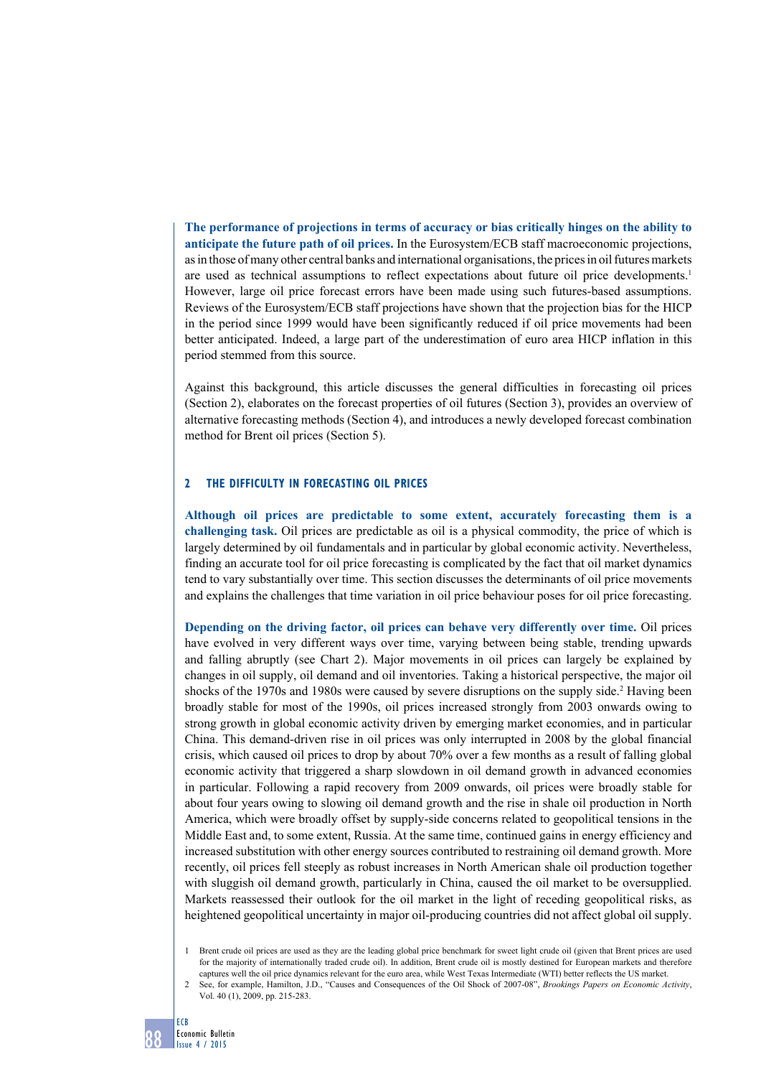**The performance of projections in terms of accuracy or bias critically hinges on the ability to anticipate the future path of oil prices.** In the Eurosystem/ECB staff macroeconomic projections, as in those of many other central banks and international organisations, the prices in oil futures markets are used as technical assumptions to reflect expectations about future oil price developments.1 However, large oil price forecast errors have been made using such futures-based assumptions. Reviews of the Eurosystem/ECB staff projections have shown that the projection bias for the HICP in the period since 1999 would have been significantly reduced if oil price movements had been better anticipated. Indeed, a large part of the underestimation of euro area HICP inflation in this period stemmed from this source.

Against this background, this article discusses the general difficulties in forecasting oil prices (Section 2), elaborates on the forecast properties of oil futures (Section 3), provides an overview of alternative forecasting methods (Section 4), and introduces a newly developed forecast combination method for Brent oil prices (Section 5).

# **2 the difficulty in forecasting oil prices**

**Although oil prices are predictable to some extent, accurately forecasting them is a challenging task.** Oil prices are predictable as oil is a physical commodity, the price of which is largely determined by oil fundamentals and in particular by global economic activity. Nevertheless, finding an accurate tool for oil price forecasting is complicated by the fact that oil market dynamics tend to vary substantially over time. This section discusses the determinants of oil price movements and explains the challenges that time variation in oil price behaviour poses for oil price forecasting.

**Depending on the driving factor, oil prices can behave very differently over time.** Oil prices have evolved in very different ways over time, varying between being stable, trending upwards and falling abruptly (see Chart 2). Major movements in oil prices can largely be explained by changes in oil supply, oil demand and oil inventories. Taking a historical perspective, the major oil shocks of the 1970s and 1980s were caused by severe disruptions on the supply side.<sup>2</sup> Having been broadly stable for most of the 1990s, oil prices increased strongly from 2003 onwards owing to strong growth in global economic activity driven by emerging market economies, and in particular China. This demand-driven rise in oil prices was only interrupted in 2008 by the global financial crisis, which caused oil prices to drop by about 70% over a few months as a result of falling global economic activity that triggered a sharp slowdown in oil demand growth in advanced economies in particular. Following a rapid recovery from 2009 onwards, oil prices were broadly stable for about four years owing to slowing oil demand growth and the rise in shale oil production in North America, which were broadly offset by supply-side concerns related to geopolitical tensions in the Middle East and, to some extent, Russia. At the same time, continued gains in energy efficiency and increased substitution with other energy sources contributed to restraining oil demand growth. More recently, oil prices fell steeply as robust increases in North American shale oil production together with sluggish oil demand growth, particularly in China, caused the oil market to be oversupplied. Markets reassessed their outlook for the oil market in the light of receding geopolitical risks, as heightened geopolitical uncertainty in major oil-producing countries did not affect global oil supply.

<sup>1</sup> Brent crude oil prices are used as they are the leading global price benchmark for sweet light crude oil (given that Brent prices are used for the majority of internationally traded crude oil). In addition, Brent crude oil is mostly destined for European markets and therefore captures well the oil price dynamics relevant for the euro area, while West Texas Intermediate (WTI) better reflects the US market.

<sup>2</sup> See, for example, Hamilton, J.D., "Causes and Consequences of the Oil Shock of 2007-08", *Brookings Papers on Economic Activity*, Vol. 40 (1), 2009, pp. 215-283.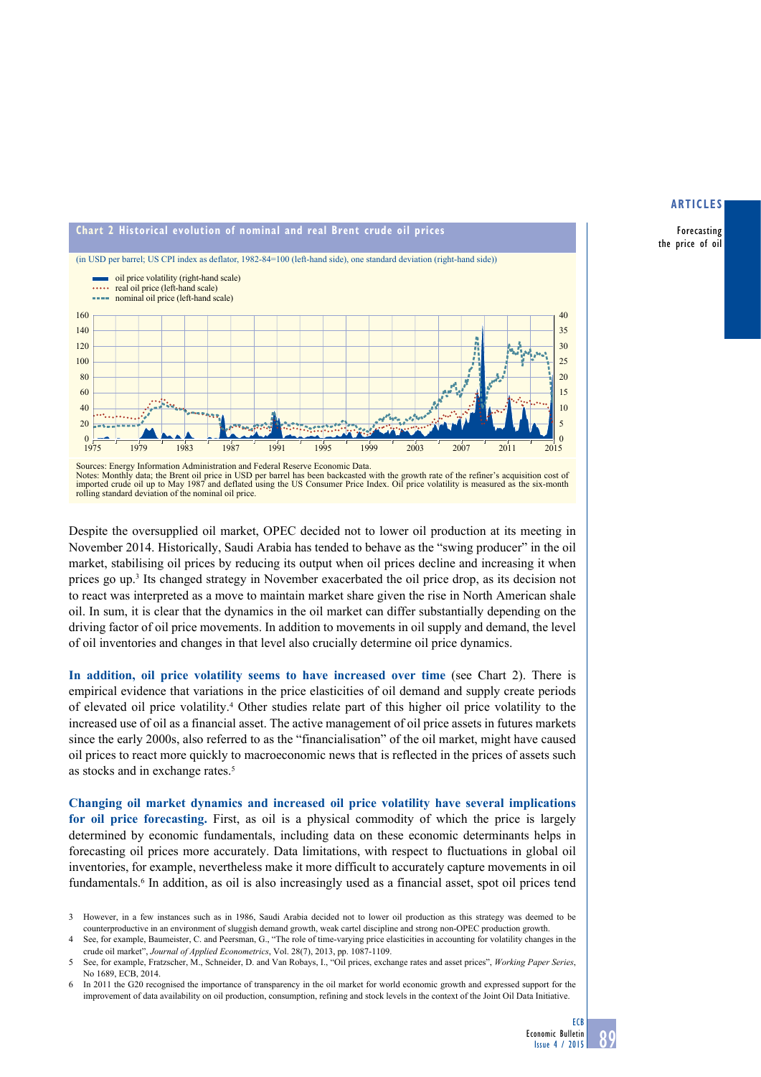Forecasting the price of oil



Notes: Monthly data; the Brent oil price in USD per barrel has been backcasted with the growth rate of the refiner's acquisition cost of imported crude oil up to May 1987 and deflated using the US Consumer Price Index. Oil rolling standard deviation of the nominal oil price.

Despite the oversupplied oil market, OPEC decided not to lower oil production at its meeting in November 2014. Historically, Saudi Arabia has tended to behave as the "swing producer" in the oil market, stabilising oil prices by reducing its output when oil prices decline and increasing it when prices go up.<sup>3</sup> Its changed strategy in November exacerbated the oil price drop, as its decision not to react was interpreted as a move to maintain market share given the rise in North American shale oil. In sum, it is clear that the dynamics in the oil market can differ substantially depending on the driving factor of oil price movements. In addition to movements in oil supply and demand, the level of oil inventories and changes in that level also crucially determine oil price dynamics.

In addition, oil price volatility seems to have increased over time (see Chart 2). There is empirical evidence that variations in the price elasticities of oil demand and supply create periods of elevated oil price volatility.4 Other studies relate part of this higher oil price volatility to the increased use of oil as a financial asset. The active management of oil price assets in futures markets since the early 2000s, also referred to as the "financialisation" of the oil market, might have caused oil prices to react more quickly to macroeconomic news that is reflected in the prices of assets such as stocks and in exchange rates.<sup>5</sup>

**Changing oil market dynamics and increased oil price volatility have several implications for oil price forecasting.** First, as oil is a physical commodity of which the price is largely determined by economic fundamentals, including data on these economic determinants helps in forecasting oil prices more accurately. Data limitations, with respect to fluctuations in global oil inventories, for example, nevertheless make it more difficult to accurately capture movements in oil fundamentals.<sup>6</sup> In addition, as oil is also increasingly used as a financial asset, spot oil prices tend

- 3 However, in a few instances such as in 1986, Saudi Arabia decided not to lower oil production as this strategy was deemed to be counterproductive in an environment of sluggish demand growth, weak cartel discipline and strong non-OPEC production growth.
- See, for example, Baumeister, C. and Peersman, G., "The role of time-varying price elasticities in accounting for volatility changes in the crude oil market", *Journal of Applied Econometrics*, Vol. 28(7), 2013, pp. 1087-1109.
- 5 See, for example, Fratzscher, M., Schneider, D. and Van Robays, I., "Oil prices, exchange rates and asset prices", *Working Paper Series*, No 1689, ECB, 2014.
- 6 In 2011 the G20 recognised the importance of transparency in the oil market for world economic growth and expressed support for the improvement of data availability on oil production, consumption, refining and stock levels in the context of the Joint Oil Data Initiative.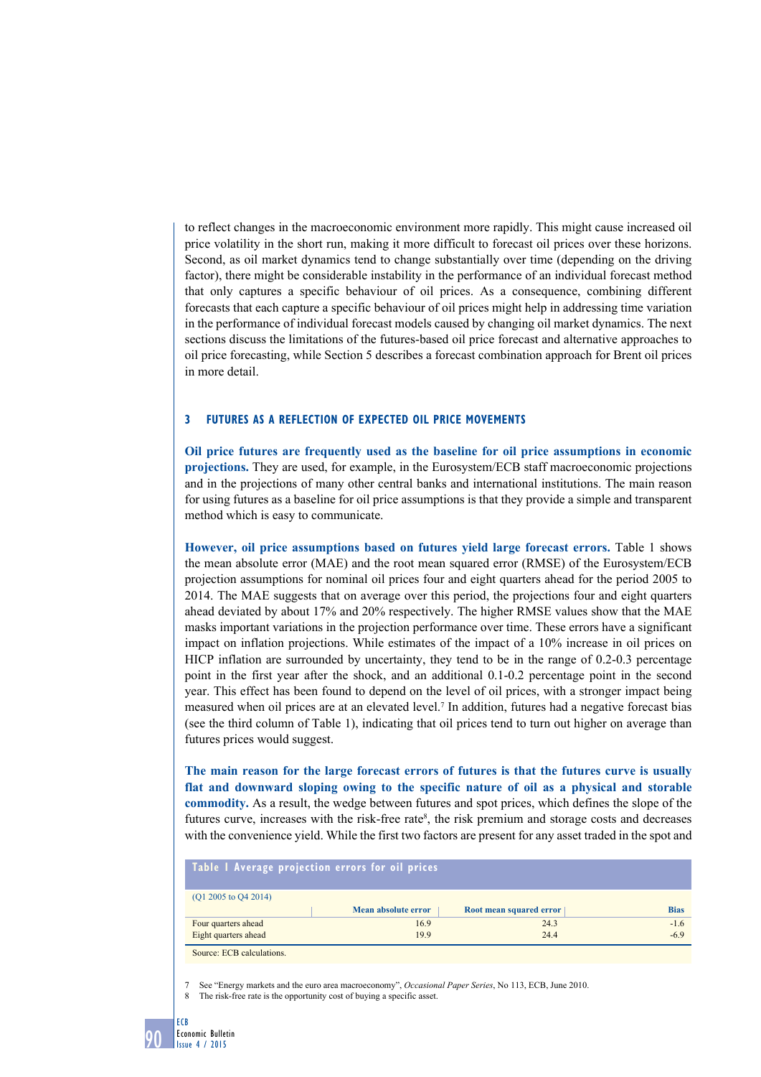to reflect changes in the macroeconomic environment more rapidly. This might cause increased oil price volatility in the short run, making it more difficult to forecast oil prices over these horizons. Second, as oil market dynamics tend to change substantially over time (depending on the driving factor), there might be considerable instability in the performance of an individual forecast method that only captures a specific behaviour of oil prices. As a consequence, combining different forecasts that each capture a specific behaviour of oil prices might help in addressing time variation in the performance of individual forecast models caused by changing oil market dynamics. The next sections discuss the limitations of the futures-based oil price forecast and alternative approaches to oil price forecasting, while Section 5 describes a forecast combination approach for Brent oil prices in more detail.

## **3 Futures as a reflection of expected oil price movements**

**Oil price futures are frequently used as the baseline for oil price assumptions in economic projections.** They are used, for example, in the Eurosystem/ECB staff macroeconomic projections and in the projections of many other central banks and international institutions. The main reason for using futures as a baseline for oil price assumptions is that they provide a simple and transparent method which is easy to communicate.

However, oil price assumptions based on futures yield large forecast errors. Table 1 shows the mean absolute error (MAE) and the root mean squared error (RMSE) of the Eurosystem/ECB projection assumptions for nominal oil prices four and eight quarters ahead for the period 2005 to 2014. The MAE suggests that on average over this period, the projections four and eight quarters ahead deviated by about 17% and 20% respectively. The higher RMSE values show that the MAE masks important variations in the projection performance over time. These errors have a significant impact on inflation projections. While estimates of the impact of a 10% increase in oil prices on HICP inflation are surrounded by uncertainty, they tend to be in the range of 0.2-0.3 percentage point in the first year after the shock, and an additional 0.1-0.2 percentage point in the second year. This effect has been found to depend on the level of oil prices, with a stronger impact being measured when oil prices are at an elevated level.<sup>7</sup> In addition, futures had a negative forecast bias (see the third column of Table 1), indicating that oil prices tend to turn out higher on average than futures prices would suggest.

**The main reason for the large forecast errors of futures is that the futures curve is usually flat and downward sloping owing to the specific nature of oil as a physical and storable commodity.** As a result, the wedge between futures and spot prices, which defines the slope of the futures curve, increases with the risk-free rate<sup>8</sup>, the risk premium and storage costs and decreases with the convenience yield. While the first two factors are present for any asset traded in the spot and

| Table I Average projection errors for oil prices |                     |                         |             |  |  |  |  |  |  |
|--------------------------------------------------|---------------------|-------------------------|-------------|--|--|--|--|--|--|
| $(Q1 2005$ to $Q4 2014)$                         |                     |                         |             |  |  |  |  |  |  |
|                                                  | Mean absolute error | Root mean squared error | <b>Bias</b> |  |  |  |  |  |  |
| Four quarters ahead                              | 16.9                | 24.3                    | $-1.6$      |  |  |  |  |  |  |
| Eight quarters ahead                             | 19.9                | 24.4                    | $-6.9$      |  |  |  |  |  |  |
| Source: ECB calculations.                        |                     |                         |             |  |  |  |  |  |  |

7 See "Energy markets and the euro area macroeconomy", *Occasional Paper Series*, No 113, ECB, June 2010.

8 The risk-free rate is the opportunity cost of buying a specific asset.

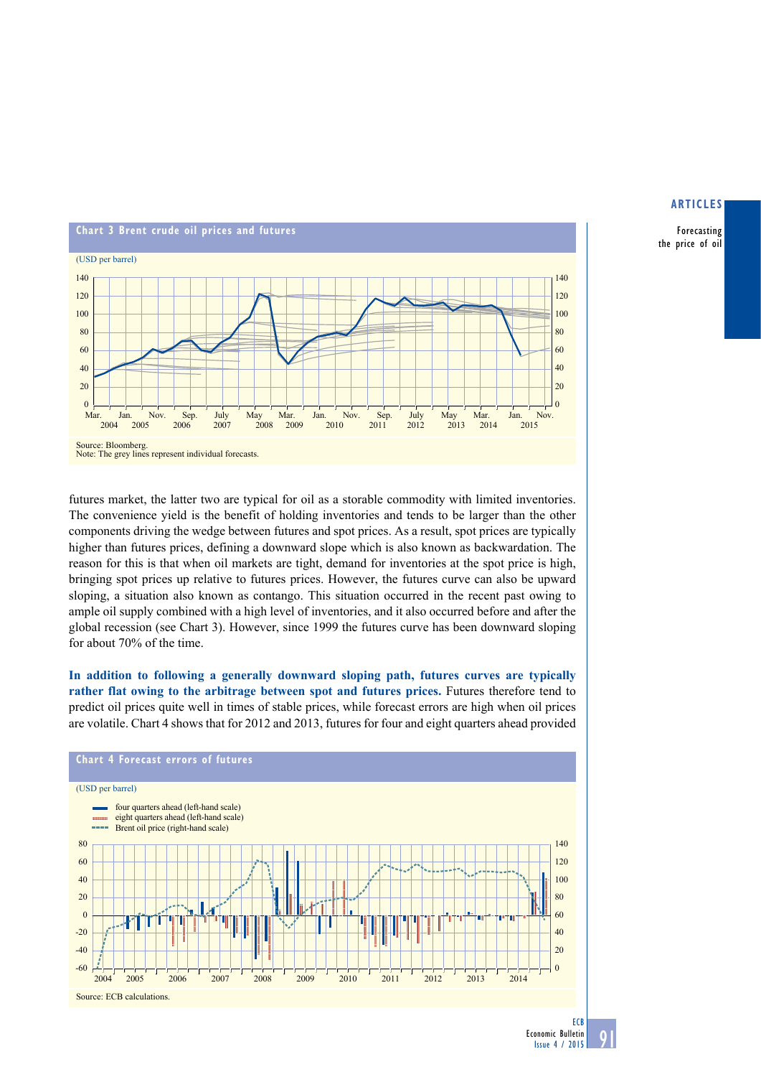

Forecasting the price of oil

futures market, the latter two are typical for oil as a storable commodity with limited inventories. The convenience yield is the benefit of holding inventories and tends to be larger than the other components driving the wedge between futures and spot prices. As a result, spot prices are typically higher than futures prices, defining a downward slope which is also known as backwardation. The reason for this is that when oil markets are tight, demand for inventories at the spot price is high, bringing spot prices up relative to futures prices. However, the futures curve can also be upward sloping, a situation also known as contango. This situation occurred in the recent past owing to ample oil supply combined with a high level of inventories, and it also occurred before and after the global recession (see Chart 3). However, since 1999 the futures curve has been downward sloping for about 70% of the time.

**In addition to following a generally downward sloping path, futures curves are typically rather flat owing to the arbitrage between spot and futures prices.** Futures therefore tend to predict oil prices quite well in times of stable prices, while forecast errors are high when oil prices are volatile. Chart 4 shows that for 2012 and 2013, futures for four and eight quarters ahead provided



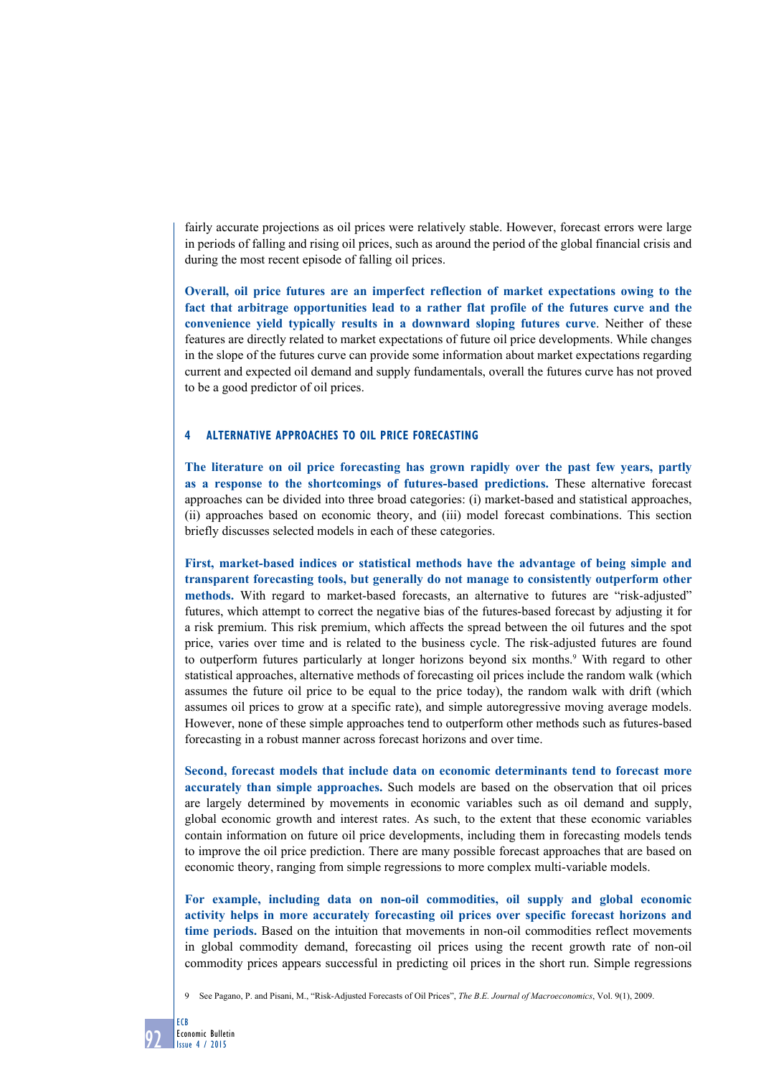fairly accurate projections as oil prices were relatively stable. However, forecast errors were large in periods of falling and rising oil prices, such as around the period of the global financial crisis and during the most recent episode of falling oil prices.

**Overall, oil price futures are an imperfect reflection of market expectations owing to the fact that arbitrage opportunities lead to a rather flat profile of the futures curve and the convenience yield typically results in a downward sloping futures curve**. Neither of these features are directly related to market expectations of future oil price developments. While changes in the slope of the futures curve can provide some information about market expectations regarding current and expected oil demand and supply fundamentals, overall the futures curve has not proved to be a good predictor of oil prices.

## **4 Alternative approaches to oil price forecasting**

**The literature on oil price forecasting has grown rapidly over the past few years, partly as a response to the shortcomings of futures-based predictions.** These alternative forecast approaches can be divided into three broad categories: (i) market-based and statistical approaches, (ii) approaches based on economic theory, and (iii) model forecast combinations. This section briefly discusses selected models in each of these categories.

**First, market-based indices or statistical methods have the advantage of being simple and transparent forecasting tools, but generally do not manage to consistently outperform other methods.** With regard to market-based forecasts, an alternative to futures are "risk-adjusted" futures, which attempt to correct the negative bias of the futures-based forecast by adjusting it for a risk premium. This risk premium, which affects the spread between the oil futures and the spot price, varies over time and is related to the business cycle. The risk-adjusted futures are found to outperform futures particularly at longer horizons beyond six months.<sup>9</sup> With regard to other statistical approaches, alternative methods of forecasting oil prices include the random walk (which assumes the future oil price to be equal to the price today), the random walk with drift (which assumes oil prices to grow at a specific rate), and simple autoregressive moving average models. However, none of these simple approaches tend to outperform other methods such as futures-based forecasting in a robust manner across forecast horizons and over time.

**Second, forecast models that include data on economic determinants tend to forecast more accurately than simple approaches.** Such models are based on the observation that oil prices are largely determined by movements in economic variables such as oil demand and supply, global economic growth and interest rates. As such, to the extent that these economic variables contain information on future oil price developments, including them in forecasting models tends to improve the oil price prediction. There are many possible forecast approaches that are based on economic theory, ranging from simple regressions to more complex multi-variable models.

**For example, including data on non-oil commodities, oil supply and global economic activity helps in more accurately forecasting oil prices over specific forecast horizons and time periods.** Based on the intuition that movements in non-oil commodities reflect movements in global commodity demand, forecasting oil prices using the recent growth rate of non-oil commodity prices appears successful in predicting oil prices in the short run. Simple regressions



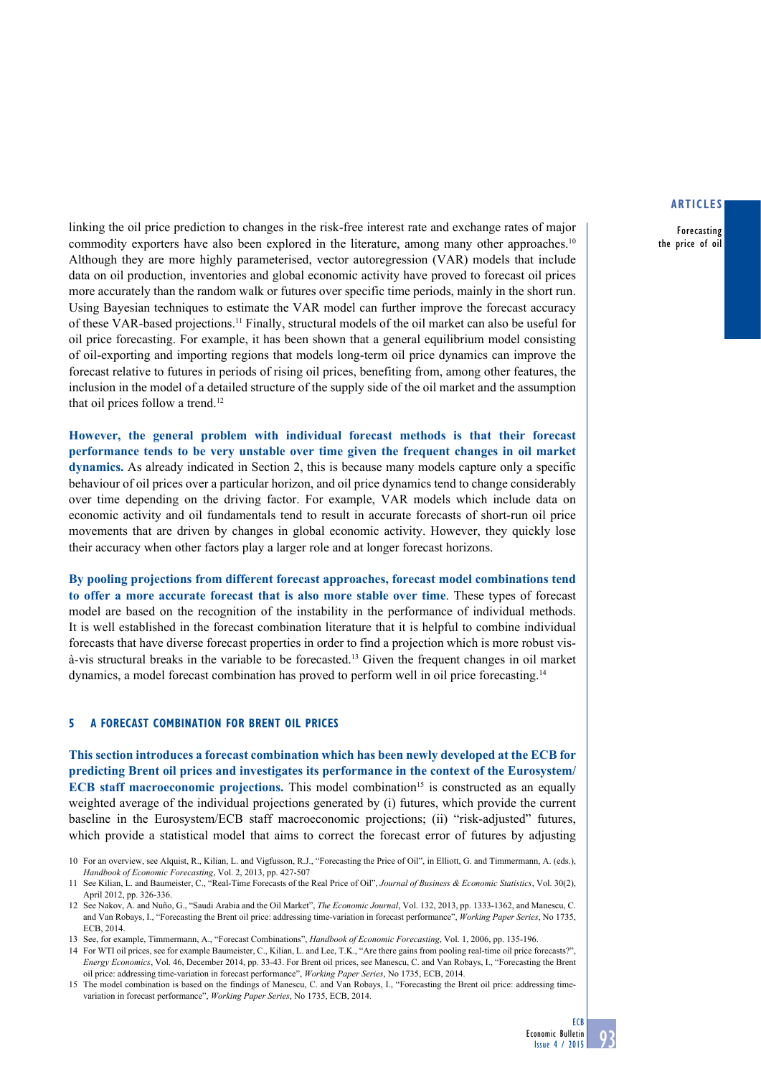Forecasting the price of oil

linking the oil price prediction to changes in the risk-free interest rate and exchange rates of major commodity exporters have also been explored in the literature, among many other approaches.<sup>10</sup> Although they are more highly parameterised, vector autoregression (VAR) models that include data on oil production, inventories and global economic activity have proved to forecast oil prices more accurately than the random walk or futures over specific time periods, mainly in the short run. Using Bayesian techniques to estimate the VAR model can further improve the forecast accuracy of these VAR-based projections.11 Finally, structural models of the oil market can also be useful for oil price forecasting. For example, it has been shown that a general equilibrium model consisting of oil-exporting and importing regions that models long-term oil price dynamics can improve the forecast relative to futures in periods of rising oil prices, benefiting from, among other features, the inclusion in the model of a detailed structure of the supply side of the oil market and the assumption that oil prices follow a trend.12

**However, the general problem with individual forecast methods is that their forecast performance tends to be very unstable over time given the frequent changes in oil market dynamics.** As already indicated in Section 2, this is because many models capture only a specific behaviour of oil prices over a particular horizon, and oil price dynamics tend to change considerably over time depending on the driving factor. For example, VAR models which include data on economic activity and oil fundamentals tend to result in accurate forecasts of short-run oil price movements that are driven by changes in global economic activity. However, they quickly lose their accuracy when other factors play a larger role and at longer forecast horizons.

**By pooling projections from different forecast approaches, forecast model combinations tend to offer a more accurate forecast that is also more stable over time**. These types of forecast model are based on the recognition of the instability in the performance of individual methods. It is well established in the forecast combination literature that it is helpful to combine individual forecasts that have diverse forecast properties in order to find a projection which is more robust visà-vis structural breaks in the variable to be forecasted.13 Given the frequent changes in oil market dynamics, a model forecast combination has proved to perform well in oil price forecasting.14

## **5 A forecast combination for Brent oil prices**

**This section introduces a forecast combination which has been newly developed at the ECB for predicting Brent oil prices and investigates its performance in the context of the Eurosystem/ ECB staff macroeconomic projections.** This model combination<sup>15</sup> is constructed as an equally weighted average of the individual projections generated by (i) futures, which provide the current baseline in the Eurosystem/ECB staff macroeconomic projections; (ii) "risk-adjusted" futures, which provide a statistical model that aims to correct the forecast error of futures by adjusting

<sup>10</sup> For an overview, see Alquist, R., Kilian, L. and Vigfusson, R.J., "Forecasting the Price of Oil", in Elliott, G. and Timmermann, A. (eds.), *Handbook of Economic Forecasting*, Vol. 2, 2013, pp. 427-507.

<sup>11</sup> See Kilian, L. and Baumeister, C., "Real-Time Forecasts of the Real Price of Oil", *Journal of Business & Economic Statistics*, Vol. 30(2), April 2012, pp. 326-336.

<sup>12</sup> See Nakov, A. and Nuño, G., "Saudi Arabia and the Oil Market", *The Economic Journal*, Vol. 132, 2013, pp. 1333-1362, and Manescu, C. and Van Robays, I., ["Forecasting the Brent oil price: addressing time-variation in forecast performance](https://drive.google.com/viewerng/viewer?a=v&pid=sites&srcid=ZGVmYXVsdGRvbWFpbnxpbmV2YW5yb2JheXN8Z3g6N2RmOTA4OTIxNmIyZDFmOA)", *Working Paper Series*, No 1735, ECB, 2014.

<sup>13</sup> See, for example, Timmermann, A., "Forecast Combinations", *Handbook of Economic Forecasting*, Vol. 1, 2006, pp. 135-196.

<sup>14</sup> For WTI oil prices, see for example Baumeister, C., Kilian, L. and Lee, T.K., "Are there gains from pooling real-time oil price forecasts?", *Energy Economics*, Vol. 46, December 2014, pp. 33-43. For Brent oil prices, see Manescu, C. and Van Robays, I., ["Forecasting the Brent](https://drive.google.com/viewerng/viewer?a=v&pid=sites&srcid=ZGVmYXVsdGRvbWFpbnxpbmV2YW5yb2JheXN8Z3g6N2RmOTA4OTIxNmIyZDFmOA)  [oil price: addressing time-variation in forecast performance"](https://drive.google.com/viewerng/viewer?a=v&pid=sites&srcid=ZGVmYXVsdGRvbWFpbnxpbmV2YW5yb2JheXN8Z3g6N2RmOTA4OTIxNmIyZDFmOA), *Working Paper Series*, No 1735, ECB, 2014.

<sup>15</sup> The model combination is based on the findings of Manescu, C. and Van Robays, I., "[Forecasting the Brent oil price: addressing time](https://drive.google.com/viewerng/viewer?a=v&pid=sites&srcid=ZGVmYXVsdGRvbWFpbnxpbmV2YW5yb2JheXN8Z3g6N2RmOTA4OTIxNmIyZDFmOA)[variation in forecast performance](https://drive.google.com/viewerng/viewer?a=v&pid=sites&srcid=ZGVmYXVsdGRvbWFpbnxpbmV2YW5yb2JheXN8Z3g6N2RmOTA4OTIxNmIyZDFmOA)", *Working Paper Series*, No 1735, ECB, 2014.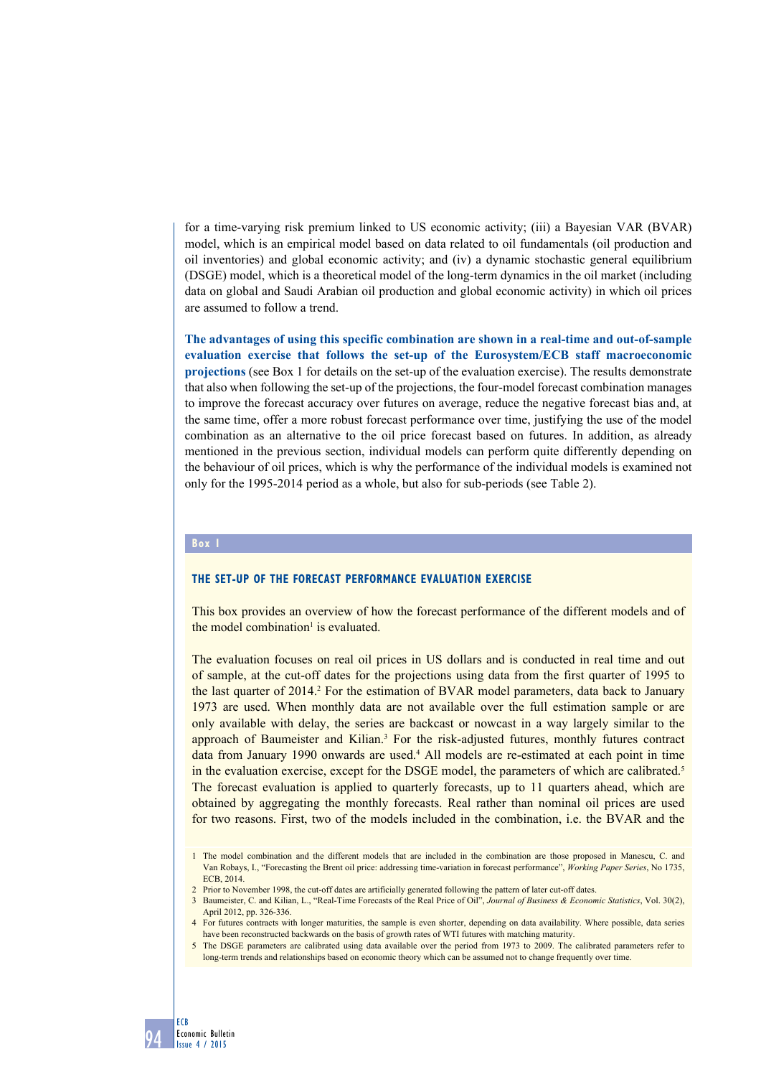for a time-varying risk premium linked to US economic activity; (iii) a Bayesian VAR (BVAR) model, which is an empirical model based on data related to oil fundamentals (oil production and oil inventories) and global economic activity; and (iv) a dynamic stochastic general equilibrium (DSGE) model, which is a theoretical model of the long-term dynamics in the oil market (including data on global and Saudi Arabian oil production and global economic activity) in which oil prices are assumed to follow a trend.

**The advantages of using this specific combination are shown in a real-time and out-of-sample evaluation exercise that follows the set-up of the Eurosystem/ECB staff macroeconomic projections** (see Box 1 for details on the set-up of the evaluation exercise). The results demonstrate that also when following the set-up of the projections, the four-model forecast combination manages to improve the forecast accuracy over futures on average, reduce the negative forecast bias and, at the same time, offer a more robust forecast performance over time, justifying the use of the model combination as an alternative to the oil price forecast based on futures. In addition, as already mentioned in the previous section, individual models can perform quite differently depending on the behaviour of oil prices, which is why the performance of the individual models is examined not only for the 1995-2014 period as a whole, but also for sub-periods (see Table 2).

#### **Box 1**

# **The set-up of the forecast performance evaluation exercise**

This box provides an overview of how the forecast performance of the different models and of the model combination<sup>1</sup> is evaluated.

The evaluation focuses on real oil prices in US dollars and is conducted in real time and out of sample, at the cut-off dates for the projections using data from the first quarter of 1995 to the last quarter of 2014.<sup>2</sup> For the estimation of BVAR model parameters, data back to January 1973 are used. When monthly data are not available over the full estimation sample or are only available with delay, the series are backcast or nowcast in a way largely similar to the approach of Baumeister and Kilian.<sup>3</sup> For the risk-adjusted futures, monthly futures contract data from January 1990 onwards are used.<sup>4</sup> All models are re-estimated at each point in time in the evaluation exercise, except for the DSGE model, the parameters of which are calibrated.<sup>5</sup> The forecast evaluation is applied to quarterly forecasts, up to 11 quarters ahead, which are obtained by aggregating the monthly forecasts. Real rather than nominal oil prices are used for two reasons. First, two of the models included in the combination, i.e. the BVAR and the

2 Prior to November 1998, the cut-off dates are artificially generated following the pattern of later cut-off dates.

<sup>1</sup> The model combination and the different models that are included in the combination are those proposed in Manescu, C. and Van Robays, I., "[Forecasting the Brent oil price: addressing time-variation in forecast performance](https://drive.google.com/viewerng/viewer?a=v&pid=sites&srcid=ZGVmYXVsdGRvbWFpbnxpbmV2YW5yb2JheXN8Z3g6N2RmOTA4OTIxNmIyZDFmOA)", *Working Paper Series*, No 1735, ECB, 2014.

<sup>3</sup> Baumeister, C. and Kilian, L., "Real-Time Forecasts of the Real Price of Oil", *Journal of Business & Economic Statistics*, Vol. 30(2), April 2012, pp. 326-336.

<sup>4</sup> For futures contracts with longer maturities, the sample is even shorter, depending on data availability. Where possible, data series have been reconstructed backwards on the basis of growth rates of WTI futures with matching maturity.

<sup>5</sup> The DSGE parameters are calibrated using data available over the period from 1973 to 2009. The calibrated parameters refer to long-term trends and relationships based on economic theory which can be assumed not to change frequently over time.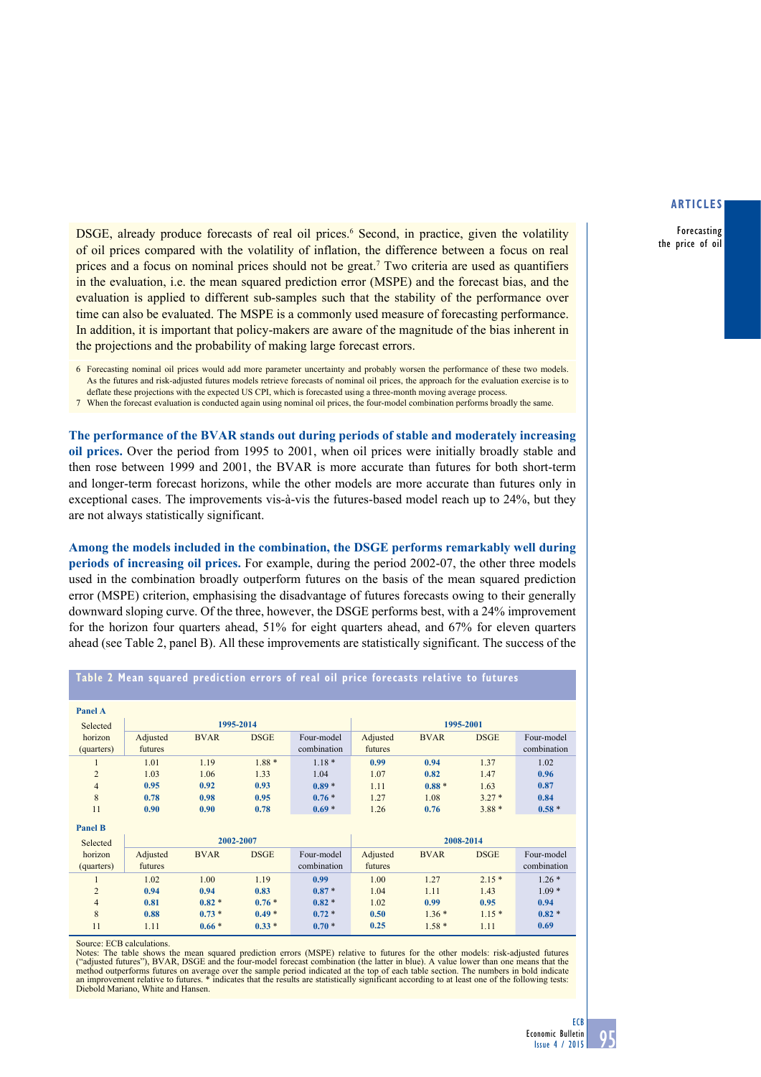Forecasting the price of oil

DSGE, already produce forecasts of real oil prices.<sup>6</sup> Second, in practice, given the volatility of oil prices compared with the volatility of inflation, the difference between a focus on real prices and a focus on nominal prices should not be great.<sup>7</sup> Two criteria are used as quantifiers in the evaluation, i.e. the mean squared prediction error (MSPE) and the forecast bias, and the evaluation is applied to different sub-samples such that the stability of the performance over time can also be evaluated. The MSPE is a commonly used measure of forecasting performance. In addition, it is important that policy-makers are aware of the magnitude of the bias inherent in the projections and the probability of making large forecast errors.

6 Forecasting nominal oil prices would add more parameter uncertainty and probably worsen the performance of these two models. As the futures and risk-adjusted futures models retrieve forecasts of nominal oil prices, the approach for the evaluation exercise is to deflate these projections with the expected US CPI, which is forecasted using a three-month moving average process.

7 When the forecast evaluation is conducted again using nominal oil prices, the four-model combination performs broadly the same.

**The performance of the BVAR stands out during periods of stable and moderately increasing oil prices.** Over the period from 1995 to 2001, when oil prices were initially broadly stable and then rose between 1999 and 2001, the BVAR is more accurate than futures for both short-term and longer-term forecast horizons, while the other models are more accurate than futures only in exceptional cases. The improvements vis-à-vis the futures-based model reach up to 24%, but they are not always statistically significant.

**Among the models included in the combination, the DSGE performs remarkably well during periods of increasing oil prices.** For example, during the period 2002-07, the other three models used in the combination broadly outperform futures on the basis of the mean squared prediction error (MSPE) criterion, emphasising the disadvantage of futures forecasts owing to their generally downward sloping curve. Of the three, however, the DSGE performs best, with a 24% improvement for the horizon four quarters ahead, 51% for eight quarters ahead, and 67% for eleven quarters ahead (see Table 2, panel B). All these improvements are statistically significant. The success of the

| <b>Panel A</b><br>Selected | 1995-2014 |             |             |             | 1995-2001 |             |             |             |
|----------------------------|-----------|-------------|-------------|-------------|-----------|-------------|-------------|-------------|
| horizon                    | Adjusted  | <b>BVAR</b> | <b>DSGE</b> | Four-model  | Adjusted  | <b>BVAR</b> | <b>DSGE</b> | Four-model  |
| (quarters)                 | futures   |             |             | combination | futures   |             |             | combination |
|                            | 1.01      | 1.19        | $1.88*$     | $1.18*$     | 0.99      | 0.94        | 1.37        | 1.02        |
| $\overline{2}$             | 1.03      | 1.06        | 1.33        | 1.04        | 1.07      | 0.82        | 1.47        | 0.96        |
| $\overline{4}$             | 0.95      | 0.92        | 0.93        | $0.89*$     | 1.11      | $0.88*$     | 1.63        | 0.87        |
| 8                          | 0.78      | 0.98        | 0.95        | $0.76*$     | 1.27      | 1.08        | $3.27*$     | 0.84        |
| 11                         | 0.90      | 0.90        | 0.78        | $0.69*$     | 1.26      | 0.76        | $3.88*$     | $0.58*$     |
| <b>Panel B</b>             |           |             |             |             |           |             |             |             |
| Selected                   | 2002-2007 |             |             | 2008-2014   |           |             |             |             |
| horizon                    | Adjusted  | <b>BVAR</b> | <b>DSGE</b> | Four-model  | Adjusted  | <b>BVAR</b> | <b>DSGE</b> | Four-model  |
| (quarters)                 | futures   |             |             | combination | futures   |             |             | combination |
| $\mathbf{I}$               | 1.02      | 1.00        | 1.19        | 0.99        | 1.00      | 1.27        | $2.15*$     | $1.26*$     |
| $\overline{2}$             | 0.94      | 0.94        | 0.83        | $0.87*$     | 1.04      | 1.11        | 1.43        | $1.09*$     |
| $\overline{4}$             | 0.81      | $0.82*$     | $0.76*$     | $0.82*$     | 1.02      | 0.99        | 0.95        | 0.94        |
| 8                          | 0.88      | $0.73*$     | $0.49*$     | $0.72*$     | 0.50      | $1.36*$     | $1.15*$     | $0.82*$     |
| 11                         | 1.11      | $0.66*$     | $0.33*$     | $0.70*$     | 0.25      | $1.58*$     | 1.11        | 0.69        |

### **table 2 mean squared prediction errors of real oil price forecasts relative to futures**

Source: ECB calculations.

Notes: The table shows the mean squared prediction errors (MSPE) relative to futures for the other models: risk-adjusted futures<br>("adjusted futures"), BVAR, DSGE and the four-model forecast combination (the latter in blue) an improvement relative to futures. \* indicates that the results are statistically significant according to at least one of the following tests: Diebold Mariano, White and Hansen.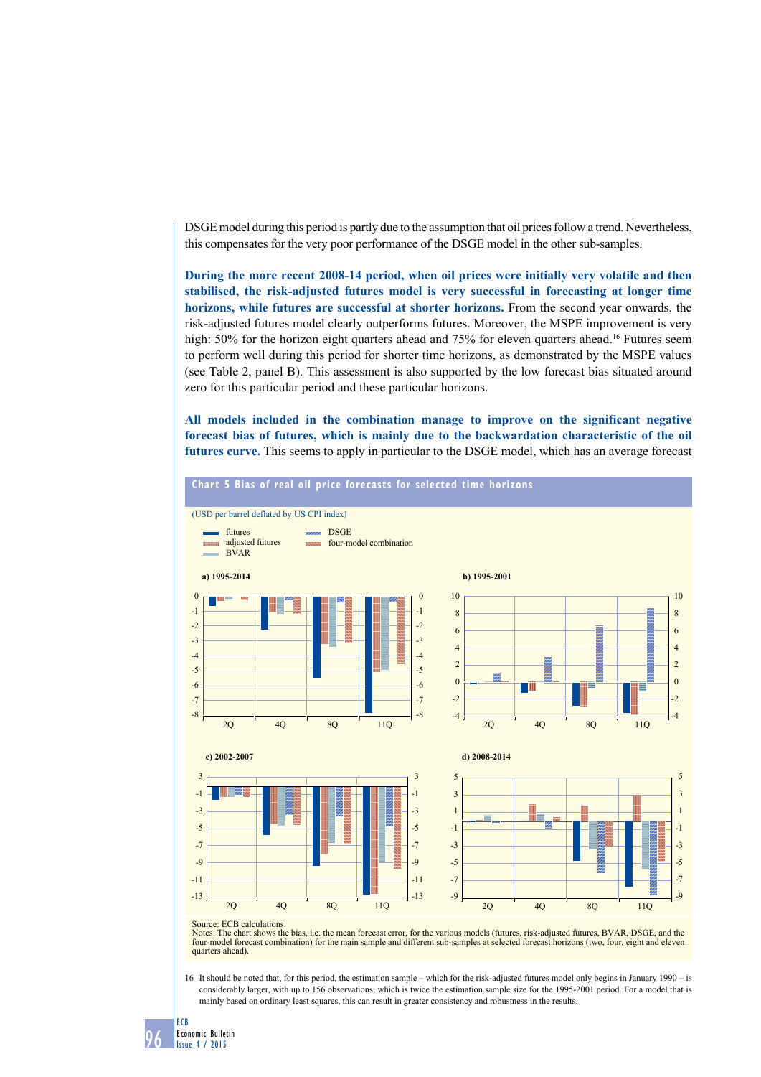DSGE model during this period is partly due to the assumption that oil prices follow a trend. Nevertheless, this compensates for the very poor performance of the DSGE model in the other sub-samples.

**During the more recent 2008-14 period, when oil prices were initially very volatile and then stabilised, the risk-adjusted futures model is very successful in forecasting at longer time horizons, while futures are successful at shorter horizons.** From the second year onwards, the risk-adjusted futures model clearly outperforms futures. Moreover, the MSPE improvement is very high: 50% for the horizon eight quarters ahead and 75% for eleven quarters ahead.<sup>16</sup> Futures seem to perform well during this period for shorter time horizons, as demonstrated by the MSPE values (see Table 2, panel B). This assessment is also supported by the low forecast bias situated around zero for this particular period and these particular horizons.

**All models included in the combination manage to improve on the significant negative forecast bias of futures, which is mainly due to the backwardation characteristic of the oil futures curve.** This seems to apply in particular to the DSGE model, which has an average forecast



Notes: The chart shows the bias, i.e. the mean forecast error, for the various models (futures, risk-adjusted futures, BVAR, DSGE, and the four-model forecast combination) for the main sample and different sub-samples at selected forecast horizons (two, four, eight and eleven quarters ahead).

16 It should be noted that, for this period, the estimation sample – which for the risk-adjusted futures model only begins in January 1990 – is considerably larger, with up to 156 observations, which is twice the estimation sample size for the 1995-2001 period. For a model that is mainly based on ordinary least squares, this can result in greater consistency and robustness in the results.

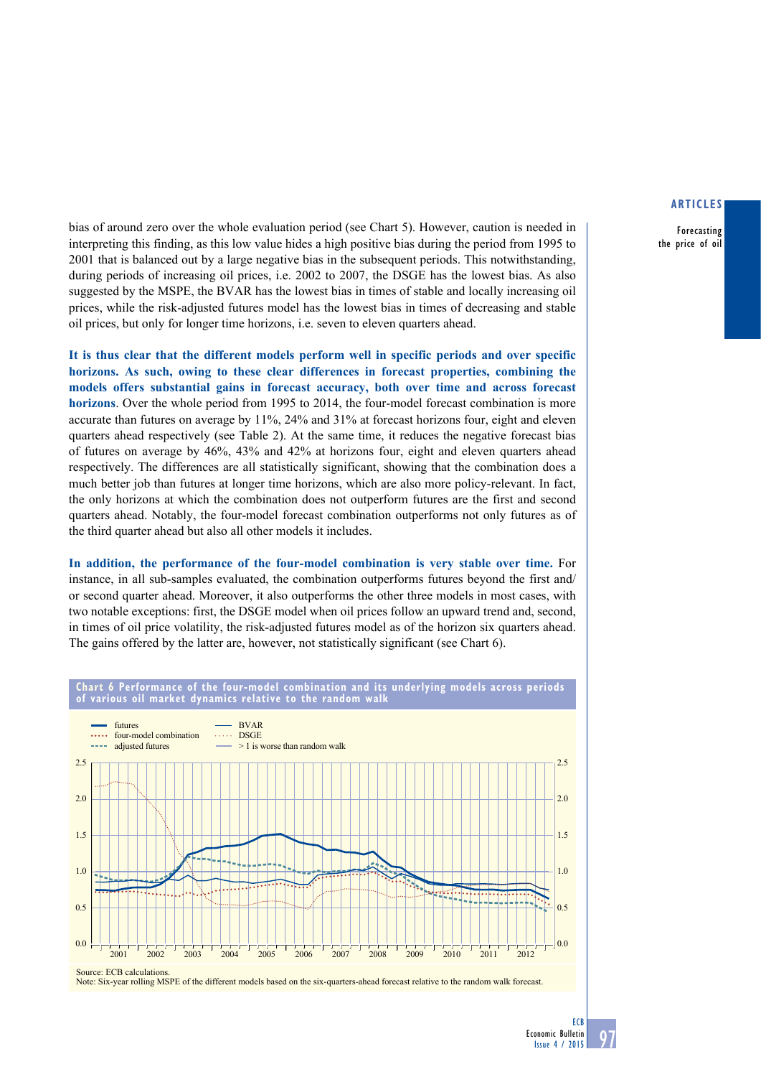Forecasting the price of oil

bias of around zero over the whole evaluation period (see Chart 5). However, caution is needed in interpreting this finding, as this low value hides a high positive bias during the period from 1995 to 2001 that is balanced out by a large negative bias in the subsequent periods. This notwithstanding, during periods of increasing oil prices, i.e. 2002 to 2007, the DSGE has the lowest bias. As also suggested by the MSPE, the BVAR has the lowest bias in times of stable and locally increasing oil prices, while the risk-adjusted futures model has the lowest bias in times of decreasing and stable oil prices, but only for longer time horizons, i.e. seven to eleven quarters ahead.

**It is thus clear that the different models perform well in specific periods and over specific horizons. As such, owing to these clear differences in forecast properties, combining the models offers substantial gains in forecast accuracy, both over time and across forecast horizons**. Over the whole period from 1995 to 2014, the four-model forecast combination is more accurate than futures on average by 11%, 24% and 31% at forecast horizons four, eight and eleven quarters ahead respectively (see Table 2). At the same time, it reduces the negative forecast bias of futures on average by 46%, 43% and 42% at horizons four, eight and eleven quarters ahead respectively. The differences are all statistically significant, showing that the combination does a much better job than futures at longer time horizons, which are also more policy-relevant. In fact, the only horizons at which the combination does not outperform futures are the first and second quarters ahead. Notably, the four-model forecast combination outperforms not only futures as of the third quarter ahead but also all other models it includes.

**In addition, the performance of the four-model combination is very stable over time.** For instance, in all sub-samples evaluated, the combination outperforms futures beyond the first and/ or second quarter ahead. Moreover, it also outperforms the other three models in most cases, with two notable exceptions: first, the DSGE model when oil prices follow an upward trend and, second, in times of oil price volatility, the risk-adjusted futures model as of the horizon six quarters ahead. The gains offered by the latter are, however, not statistically significant (see Chart 6).



Note: Six-year rolling MSPE of the different models based on the six-quarters-ahead forecast relative to the random walk forecast.